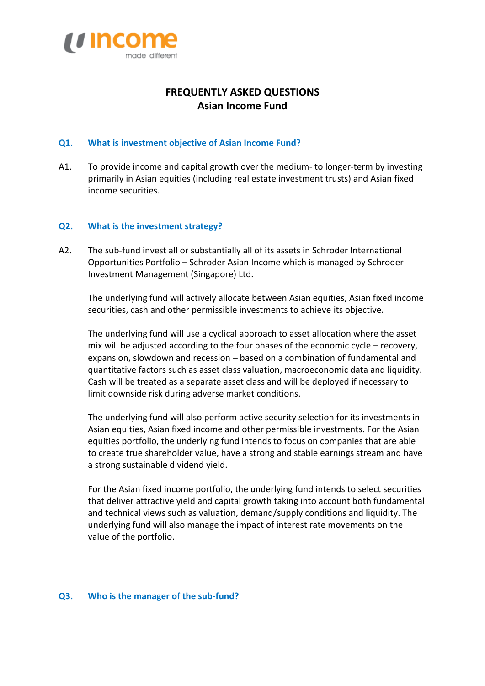

# **FREQUENTLY ASKED QUESTIONS Asian Income Fund**

#### **Q1. What is investment objective of Asian Income Fund?**

A1. To provide income and capital growth over the medium- to longer-term by investing primarily in Asian equities (including real estate investment trusts) and Asian fixed income securities.

#### **Q2. What is the investment strategy?**

A2. The sub-fund invest all or substantially all of its assets in Schroder International Opportunities Portfolio – Schroder Asian Income which is managed by Schroder Investment Management (Singapore) Ltd.

The underlying fund will actively allocate between Asian equities, Asian fixed income securities, cash and other permissible investments to achieve its objective.

The underlying fund will use a cyclical approach to asset allocation where the asset mix will be adjusted according to the four phases of the economic cycle – recovery, expansion, slowdown and recession – based on a combination of fundamental and quantitative factors such as asset class valuation, macroeconomic data and liquidity. Cash will be treated as a separate asset class and will be deployed if necessary to limit downside risk during adverse market conditions.

The underlying fund will also perform active security selection for its investments in Asian equities, Asian fixed income and other permissible investments. For the Asian equities portfolio, the underlying fund intends to focus on companies that are able to create true shareholder value, have a strong and stable earnings stream and have a strong sustainable dividend yield.

For the Asian fixed income portfolio, the underlying fund intends to select securities that deliver attractive yield and capital growth taking into account both fundamental and technical views such as valuation, demand/supply conditions and liquidity. The underlying fund will also manage the impact of interest rate movements on the value of the portfolio.

#### **Q3. Who is the manager of the sub-fund?**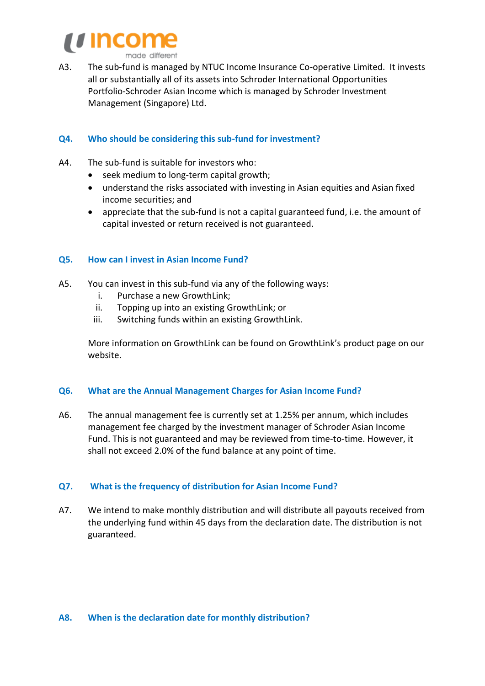

made different

A3. The sub-fund is managed by NTUC Income Insurance Co-operative Limited. It invests all or substantially all of its assets into Schroder International Opportunities Portfolio-Schroder Asian Income which is managed by Schroder Investment Management (Singapore) Ltd.

## **Q4. Who should be considering this sub-fund for investment?**

- A4. The sub-fund is suitable for investors who:
	- seek medium to long-term capital growth;
	- understand the risks associated with investing in Asian equities and Asian fixed income securities; and
	- appreciate that the sub-fund is not a capital guaranteed fund, i.e. the amount of capital invested or return received is not guaranteed.

## **Q5. How can I invest in Asian Income Fund?**

- A5. You can invest in this sub-fund via any of the following ways:
	- i. Purchase a new GrowthLink;
	- ii. Topping up into an existing GrowthLink; or
	- iii. Switching funds within an existing GrowthLink.

More information on GrowthLink can be found on GrowthLink's product page on our website.

## **Q6. What are the Annual Management Charges for Asian Income Fund?**

A6. The annual management fee is currently set at 1.25% per annum, which includes management fee charged by the investment manager of Schroder Asian Income Fund. This is not guaranteed and may be reviewed from time-to-time. However, it shall not exceed 2.0% of the fund balance at any point of time.

## **Q7. What is the frequency of distribution for Asian Income Fund?**

A7. We intend to make monthly distribution and will distribute all payouts received from the underlying fund within 45 days from the declaration date. The distribution is not guaranteed.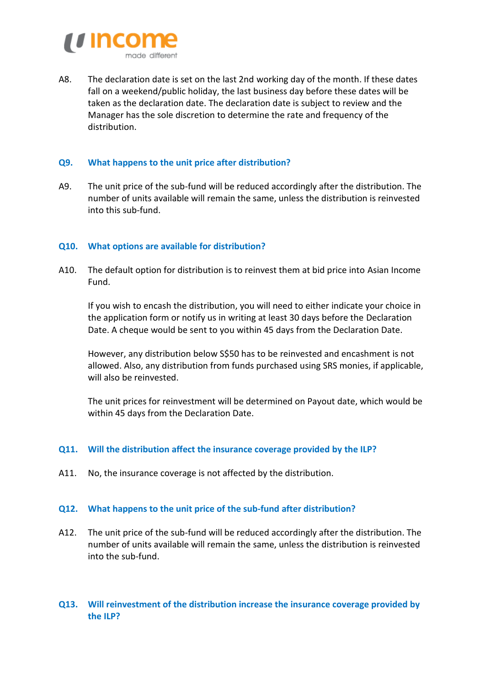

A8. The declaration date is set on the last 2nd working day of the month. If these dates fall on a weekend/public holiday, the last business day before these dates will be taken as the declaration date. The declaration date is subject to review and the Manager has the sole discretion to determine the rate and frequency of the distribution.

## **Q9. What happens to the unit price after distribution?**

A9. The unit price of the sub-fund will be reduced accordingly after the distribution. The number of units available will remain the same, unless the distribution is reinvested into this sub-fund.

## **Q10. What options are available for distribution?**

A10. The default option for distribution is to reinvest them at bid price into Asian Income Fund.

If you wish to encash the distribution, you will need to either indicate your choice in the application form or notify us in writing at least 30 days before the Declaration Date. A cheque would be sent to you within 45 days from the Declaration Date.

However, any distribution below S\$50 has to be reinvested and encashment is not allowed. Also, any distribution from funds purchased using SRS monies, if applicable, will also be reinvested.

The unit prices for reinvestment will be determined on Payout date, which would be within 45 days from the Declaration Date.

## **Q11. Will the distribution affect the insurance coverage provided by the ILP?**

A11. No, the insurance coverage is not affected by the distribution.

## **Q12. What happens to the unit price of the sub-fund after distribution?**

A12. The unit price of the sub-fund will be reduced accordingly after the distribution. The number of units available will remain the same, unless the distribution is reinvested into the sub-fund.

# **Q13. Will reinvestment of the distribution increase the insurance coverage provided by the ILP?**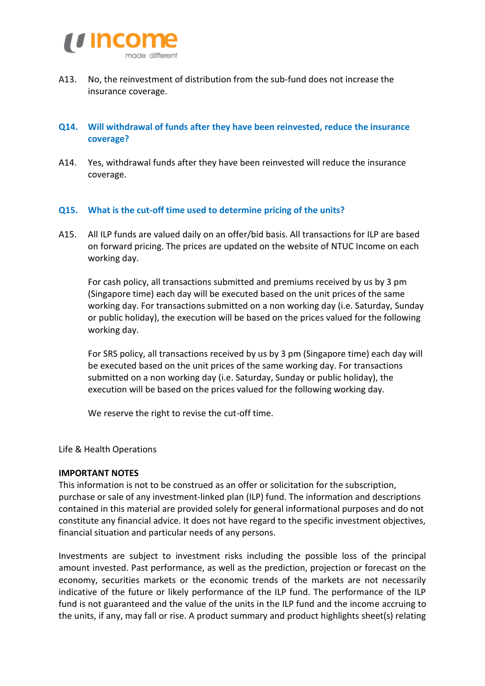

A13. No, the reinvestment of distribution from the sub-fund does not increase the insurance coverage.

## **Q14. Will withdrawal of funds after they have been reinvested, reduce the insurance coverage?**

A14. Yes, withdrawal funds after they have been reinvested will reduce the insurance coverage.

#### **Q15. What is the cut-off time used to determine pricing of the units?**

A15. All ILP funds are valued daily on an offer/bid basis. All transactions for ILP are based on forward pricing. The prices are updated on the website of NTUC Income on each working day.

For cash policy, all transactions submitted and premiums received by us by 3 pm (Singapore time) each day will be executed based on the unit prices of the same working day. For transactions submitted on a non working day (i.e. Saturday, Sunday or public holiday), the execution will be based on the prices valued for the following working day.

For SRS policy, all transactions received by us by 3 pm (Singapore time) each day will be executed based on the unit prices of the same working day. For transactions submitted on a non working day (i.e. Saturday, Sunday or public holiday), the execution will be based on the prices valued for the following working day.

We reserve the right to revise the cut-off time.

Life & Health Operations

#### **IMPORTANT NOTES**

This information is not to be construed as an offer or solicitation for the subscription, purchase or sale of any investment-linked plan (ILP) fund. The information and descriptions contained in this material are provided solely for general informational purposes and do not constitute any financial advice. It does not have regard to the specific investment objectives, financial situation and particular needs of any persons.

Investments are subject to investment risks including the possible loss of the principal amount invested. Past performance, as well as the prediction, projection or forecast on the economy, securities markets or the economic trends of the markets are not necessarily indicative of the future or likely performance of the ILP fund. The performance of the ILP fund is not guaranteed and the value of the units in the ILP fund and the income accruing to the units, if any, may fall or rise. A product summary and product highlights sheet(s) relating